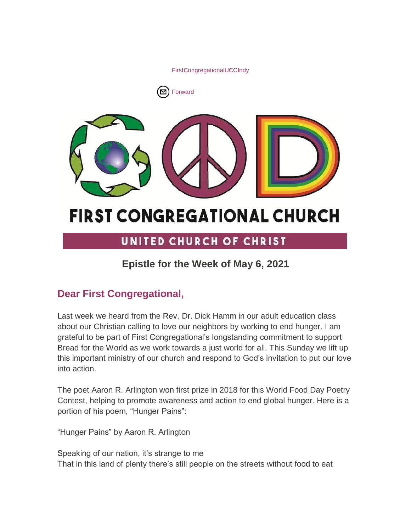[FirstCongregationalUCCIndy](http://www.facebook.com/sharer/sharer.php?u=https%3A%2F%2Fmailchi.mp%2Fae6b52005760%2Fepistle-for-the-week-of-may-6th)





# **FIRST CONGREGATIONAL CHURCH**

# UNITED CHURCH OF CHRIST

# **Epistle for the Week of May 6, 2021**

# **Dear First Congregational,**

Last week we heard from the Rev. Dr. Dick Hamm in our adult education class about our Christian calling to love our neighbors by working to end hunger. I am grateful to be part of First Congregational's longstanding commitment to support Bread for the World as we work towards a just world for all. This Sunday we lift up this important ministry of our church and respond to God's invitation to put our love into action.

The poet Aaron R. Arlington won first prize in 2018 for this World Food Day Poetry Contest, helping to promote awareness and action to end global hunger. Here is a portion of his poem, "Hunger Pains":

"Hunger Pains" by Aaron R. Arlington

Speaking of our nation, it's strange to me That in this land of plenty there's still people on the streets without food to eat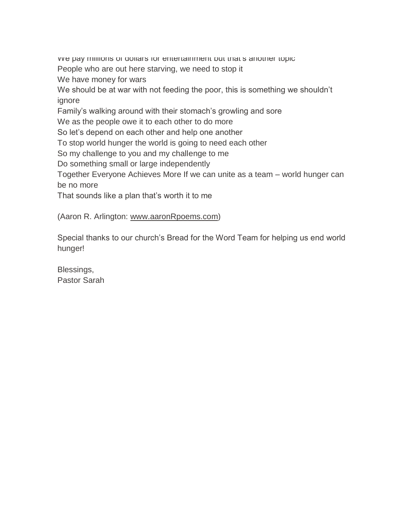we pay millions of dollars for entertainment but that's another topic People who are out here starving, we need to stop it We have money for wars We should be at war with not feeding the poor, this is something we shouldn't ignore Family's walking around with their stomach's growling and sore We as the people owe it to each other to do more So let's depend on each other and help one another To stop world hunger the world is going to need each other So my challenge to you and my challenge to me Do something small or large independently Together Everyone Achieves More If we can unite as a team – world hunger can be no more That sounds like a plan that's worth it to me

(Aaron R. Arlington: [www.aaronRpoems.com\)](http://www.aaronrpoems.com/)

Special thanks to our church's Bread for the Word Team for helping us end world hunger!

Blessings, Pastor Sarah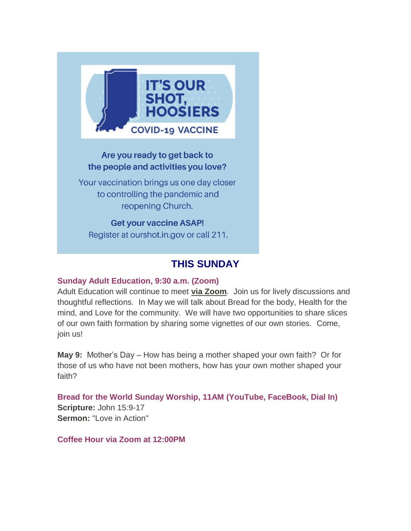

## Are you ready to get back to the people and activities you love?

Your vaccination brings us one day closer to controlling the pandemic and reopening Church.

**Get your vaccine ASAP!** Register at ourshot.in.gov or call 211.

## **THIS SUNDAY**

## **Sunday Adult Education, 9:30 a.m. (Zoom)**

Adult Education will continue to meet **[via Zoom](https://us02web.zoom.us/j/9264494206?pwd=dmtWbWE5UXRBTk5pcHZlYlB0aEFVUT09)**. Join us for lively discussions and thoughtful reflections. In May we will talk about Bread for the body, Health for the mind, and Love for the community. We will have two opportunities to share slices of our own faith formation by sharing some vignettes of our own stories. Come, join us!

**May 9:** Mother's Day – How has being a mother shaped your own faith? Or for those of us who have not been mothers, how has your own mother shaped your faith?

**Bread for the World Sunday Worship, 11AM (YouTube, FaceBook, Dial In) Scripture:** John 15:9-17 **Sermon:** "Love in Action"

**Coffee Hour via Zoom at 12:00PM**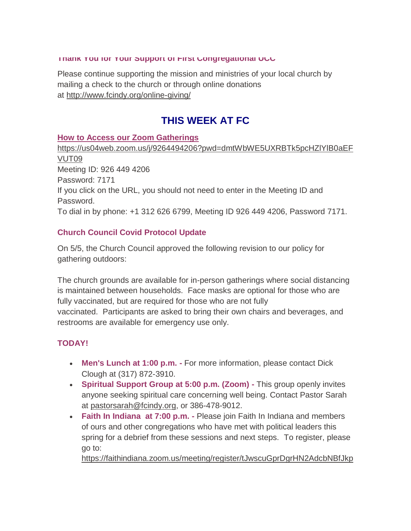#### **Thank You for Your Support of First Congregational UCC**

Please continue supporting the mission and ministries of your local church by mailing a check to the church or through online donations at <http://www.fcindy.org/online-giving/>

# **THIS WEEK AT FC**

#### **How to Access our Zoom Gatherings**

[https://us04web.zoom.us/j/9264494206?pwd=dmtWbWE5UXRBTk5pcHZlYlB0aEF](https://us04web.zoom.us/j/9264494206?pwd=dmtWbWE5UXRBTk5pcHZlYlB0aEFVUT09) [VUT09](https://us04web.zoom.us/j/9264494206?pwd=dmtWbWE5UXRBTk5pcHZlYlB0aEFVUT09) Meeting ID: 926 449 4206 Password: 7171 If you click on the URL, you should not need to enter in the Meeting ID and Password. To dial in by phone: +1 312 626 6799, Meeting ID 926 449 4206, Password 7171.

## **Church Council Covid Protocol Update**

On 5/5, the Church Council approved the following revision to our policy for gathering outdoors:

The church grounds are available for in-person gatherings where social distancing is maintained between households. Face masks are optional for those who are fully vaccinated, but are required for those who are not fully vaccinated. Participants are asked to bring their own chairs and beverages, and restrooms are available for emergency use only.

## **TODAY!**

- **Men's Lunch at 1:00 p.m. -** For more information, please contact Dick Clough at (317) 872-3910.
- **Spiritual Support Group at 5:00 p.m. (Zoom) -** This group openly invites anyone seeking spiritual care concerning well being. Contact Pastor Sarah at [pastorsarah@fcindy.org,](mailto:pastorsarah@fcindy.org) or 386-478-9012.
- **Faith In Indiana at 7:00 p.m. -** Please join Faith In Indiana and members of ours and other congregations who have met with political leaders this spring for a debrief from these sessions and next steps. To register, please go to:

[https://faithindiana.zoom.us/meeting/register/tJwscuGprDgrHN2AdcbNBfJkp](https://urldefense.com/v3/__https:/faithindiana.zoom.us/meeting/register/tJwscuGprDgrHN2AdcbNBfJkpBVBkICZBHgm__;!!NuAq3lKL!4gwYTSCzagiBy2Ylko9jzPjiov9UhXq4NvqCMZ7wMg7GsBfcuYUXyFk1sOgbXoLj8A$)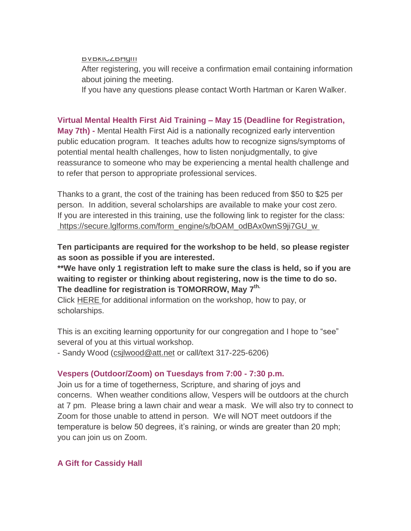#### **BVBKICZBHGMM**

After registering, you will receive a confirmation email containing information about joining the meeting.

If you have any questions please contact Worth Hartman or Karen Walker.

#### **Virtual Mental Health First Aid Training – May 15 (Deadline for Registration,**

**May 7th) -** Mental Health First Aid is a nationally recognized early intervention public education program. It teaches adults how to recognize signs/symptoms of potential mental health challenges, how to listen nonjudgmentally, to give reassurance to someone who may be experiencing a mental health challenge and to refer that person to appropriate professional services.

Thanks to a grant, the cost of the training has been reduced from \$50 to \$25 per person. In addition, several scholarships are available to make your cost zero. If you are interested in this training, use the following link to register for the class: [https://secure.lglforms.com/form\\_engine/s/bOAM\\_odBAx0wnS9ji7GU\\_w](https://secure.lglforms.com/form_engine/s/bOAM_odBAx0wnS9ji7GU_w)

**Ten participants are required for the workshop to be held**, **so please register as soon as possible if you are interested.**

**\*\*We have only 1 registration left to make sure the class is held, so if you are waiting to register or thinking about registering, now is the time to do so. The deadline for registration is TOMORROW, May 7 th.**

Click [HERE](https://mcusercontent.com/7a2e4c501545b6d78729a64a1/files/6942c0fa-d81b-40a5-881a-5e51f2df50e9/Mental_Health_First_Aid_Trainingblurb2021.pdf) for additional information on the workshop, how to pay, or scholarships.

This is an exciting learning opportunity for our congregation and I hope to "see" several of you at this virtual workshop.

- Sandy Wood [\(csjlwood@att.net](mailto:csjlwood@att.net) or call/text 317-225-6206)

#### **Vespers (Outdoor/Zoom) on Tuesdays from 7:00 - 7:30 p.m.**

Join us for a time of togetherness, Scripture, and sharing of joys and concerns. When weather conditions allow, Vespers will be outdoors at the church at 7 pm. Please bring a lawn chair and wear a mask. We will also try to connect to Zoom for those unable to attend in person. We will NOT meet outdoors if the temperature is below 50 degrees, it's raining, or winds are greater than 20 mph; you can join us on Zoom.

#### **A Gift for Cassidy Hall**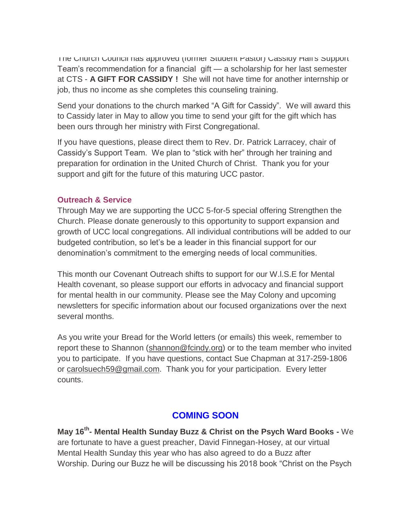The Church Council has approved (former Student Pastor) Cassidy Hall's Support Team's recommendation for a financial gift — a scholarship for her last semester at CTS - **A GIFT FOR CASSIDY !** She will not have time for another internship or job, thus no income as she completes this counseling training.

Send your donations to the church marked "A Gift for Cassidy". We will award this to Cassidy later in May to allow you time to send your gift for the gift which has been ours through her ministry with First Congregational.

If you have questions, please direct them to Rev. Dr. Patrick Larracey, chair of Cassidy's Support Team. We plan to "stick with her" through her training and preparation for ordination in the United Church of Christ. Thank you for your support and gift for the future of this maturing UCC pastor.

#### **Outreach & Service**

Through May we are supporting the UCC 5-for-5 special offering Strengthen the Church. Please donate generously to this opportunity to support expansion and growth of UCC local congregations. All individual contributions will be added to our budgeted contribution, so let's be a leader in this financial support for our denomination's commitment to the emerging needs of local communities.

This month our Covenant Outreach shifts to support for our W.l.S.E for Mental Health covenant, so please support our efforts in advocacy and financial support for mental health in our community. Please see the May Colony and upcoming newsletters for specific information about our focused organizations over the next several months.

As you write your Bread for the World letters (or emails) this week, remember to report these to Shannon [\(shannon@fcindy.org\)](mailto:shannon@fcindy.org) or to the team member who invited you to participate. If you have questions, contact Sue Chapman at 317-259-1806 or [carolsuech59@gmail.com.](mailto:carolsuech59@gmail.com) Thank you for your participation. Every letter counts.

## **COMING SOON**

**May 16th - Mental Health Sunday Buzz & Christ on the Psych Ward Books -** We are fortunate to have a guest preacher, David Finnegan-Hosey, at our virtual Mental Health Sunday this year who has also agreed to do a Buzz after Worship. During our Buzz he will be discussing his 2018 book "Christ on the Psych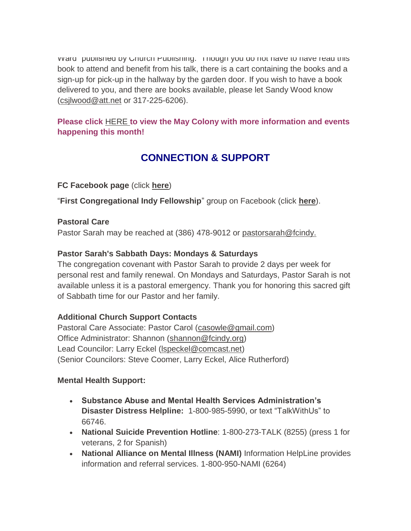ward published by Church Publishing. Though you do not have to have read this book to attend and benefit from his talk, there is a cart containing the books and a sign-up for pick-up in the hallway by the garden door. If you wish to have a book delivered to you, and there are books available, please let Sandy Wood know [\(csjlwood@att.net](mailto:csjlwood@att.net-) or 317-225-6206).

## **Please click** [HERE](https://mcusercontent.com/7a2e4c501545b6d78729a64a1/files/4829092a-9266-4e2f-a5d7-b1df27a81bda/May_Colony_2021.01.pdf) **[t](https://mcusercontent.com/7a2e4c501545b6d78729a64a1/files/4829092a-9266-4e2f-a5d7-b1df27a81bda/May_Colony_2021.01.pdf)o view the May Colony with more information and events happening this month!**

# **CONNECTION & SUPPORT**

**FC Facebook page** (click **[here](https://www.facebook.com/FirstCongregationalUCCIndy/)**)

"**First Congregational Indy Fellowship**" group on Facebook (click **[here](https://www.facebook.com/groups/521333455186422/)**).

## **Pastoral Care**

Pastor Sarah may be reached at (386) 478-9012 or [pastorsarah@fcindy.](mailto:pastorsarah@fcindy.org)

## **Pastor Sarah's Sabbath Days: Mondays & Saturdays**

The congregation covenant with Pastor Sarah to provide 2 days per week for personal rest and family renewal. On Mondays and Saturdays, Pastor Sarah is not available unless it is a pastoral emergency. Thank you for honoring this sacred gift of Sabbath time for our Pastor and her family.

## **Additional Church Support Contacts**

Pastoral Care Associate: Pastor Carol [\(casowle@gmail.com\)](mailto:casowle@gmail.com) Office Administrator: Shannon [\(shannon@fcindy.org\)](mailto:shannon@fcindy.org) Lead Councilor: Larry Eckel [\(lspeckel@comcast.net\)](mailto:lspeckel@comcast.net) (Senior Councilors: Steve Coomer, Larry Eckel, Alice Rutherford)

## **Mental Health Support:**

- **Substance Abuse and Mental Health Services Administration's Disaster Distress Helpline:** 1-800-985-5990, or text "TalkWithUs" to 66746.
- **National Suicide Prevention Hotline**: 1-800-273-TALK (8255) (press 1 for veterans, 2 for Spanish)
- **National Alliance on Mental Illness (NAMI)** Information HelpLine provides information and referral services. 1-800-950-NAMI (6264)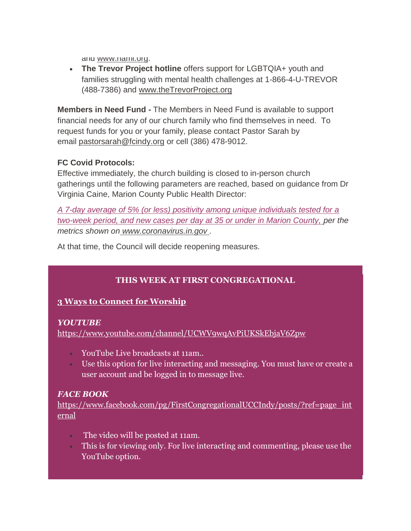and [www.nami.org.](http://www.nami.org/)

 **The Trevor Project hotline** offers support for LGBTQIA+ youth and families struggling with mental health challenges at 1-866-4-U-TREVOR (488-7386) and [www.theTrevorProject.org](http://www.thetrevorproject.org/)

**Members in Need Fund -** The Members in Need Fund is available to support financial needs for any of our church family who find themselves in need. To request funds for you or your family, please contact Pastor Sarah by email [pastorsarah@fcindy.org](mailto:pastorsarah@fcindy.org) or cell (386) 478-9012.

#### **FC Covid Protocols:**

Effective immediately, the church building is closed to in-person church gatherings until the following parameters are reached, based on guidance from Dr Virginia Caine, Marion County Public Health Director:

*A 7-day average of 5% (or less) positivity among unique individuals tested for a two-week period, and new cases per day at 35 or under in Marion County, per the metrics shown on [www.coronavirus.in.gov](http://www.coronavirus.in.gov/) .* 

At that time, the Council will decide reopening measures.

## **THIS WEEK AT FIRST CONGREGATIONAL**

## **3 Ways to Connect for Worship**

#### *YOUTUBE*

<https://www.youtube.com/channel/UCWV9wqAvPiUKSkEbjaV6Zpw>

- YouTube Live broadcasts at 11am..
- Use this option for live interacting and messaging. You must have or create a user account and be logged in to message live.

## *FACE BOOK*

[https://www.facebook.com/pg/FirstCongregationalUCCIndy/posts/?ref=page\\_int](https://www.facebook.com/pg/FirstCongregationalUCCIndy/posts/?ref=page_internal) [ernal](https://www.facebook.com/pg/FirstCongregationalUCCIndy/posts/?ref=page_internal)

- The video will be posted at 11am.
- This is for viewing only. For live interacting and commenting, please use the YouTube option.